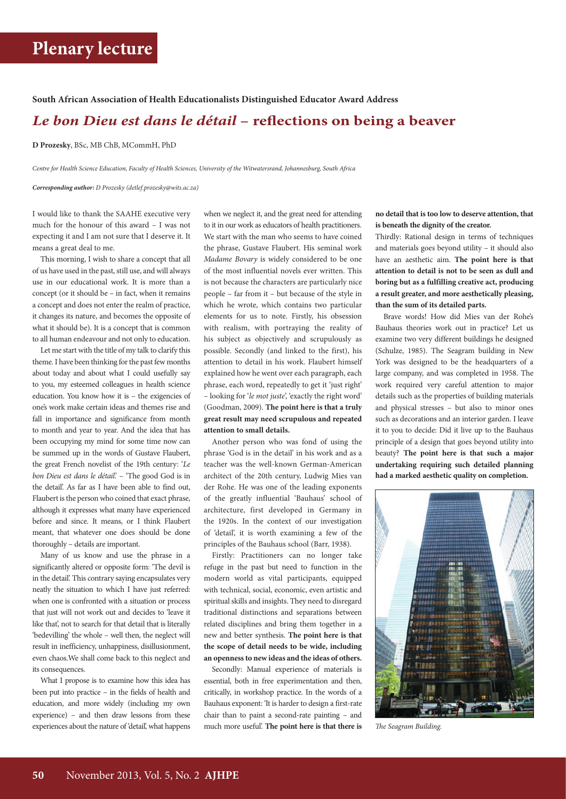#### **South African Association of Health Educationalists Distinguished Educator Award Address**

### *Le bon Dieu est dans le détail* **– reflections on being a beaver**

**D Prozesky**, BSc, MB ChB, MCommH, PhD

*Centre for Health Science Education, Faculty of Health Sciences, University of the Witwatersrand, Johannesburg, South Africa*

*Corresponding author: D Prozesky [\(detlef.prozesky@wits.ac.za\)](mailto:detlef.prozesky@wits.ac.za)*

I would like to thank the SAAHE executive very much for the honour of this award – I was not expecting it and I am not sure that I deserve it. It means a great deal to me.

This morning, I wish to share a concept that all of us have used in the past, still use, and will always use in our educational work. It is more than a concept (or it should be – in fact, when it remains a concept and does not enter the realm of practice, it changes its nature, and becomes the opposite of what it should be). It is a concept that is common to all human endeavour and not only to education.

Let me start with the title of my talk to clarify this theme. I have been thinking for the past few months about today and about what I could usefully say to you, my esteemed colleagues in health science education. You know how it is – the exigencies of one's work make certain ideas and themes rise and fall in importance and significance from month to month and year to year. And the idea that has been occupying my mind for some time now can be summed up in the words of Gustave Flaubert, the great French novelist of the 19th century: '*Le bon Dieu est dans le détail*.' – 'The good God is in the detail'. As far as I have been able to find out, Flaubert is the person who coined that exact phrase, although it expresses what many have experienced before and since. It means, or I think Flaubert meant, that whatever one does should be done thoroughly – details are important.

Many of us know and use the phrase in a significantly altered or opposite form: 'The devil is in the detail'. This contrary saying encapsulates very neatly the situation to which I have just referred: when one is confronted with a situation or process that just will not work out and decides to 'leave it like that', not to search for that detail that is literally 'bedevilling' the whole – well then, the neglect will result in inefficiency, unhappiness, disillusionment, even chaos.We shall come back to this neglect and its consequences.

What I propose is to examine how this idea has been put into practice – in the fields of health and education, and more widely (including my own experience) – and then draw lessons from these experiences about the nature of 'detail', what happens when we neglect it, and the great need for attending to it in our work as educators of health practitioners. We start with the man who seems to have coined the phrase, Gustave Flaubert. His seminal work *Madame Bovary* is widely considered to be one of the most influential novels ever written. This is not because the characters are particularly nice people – far from it – but because of the style in which he wrote, which contains two particular elements for us to note. Firstly, his obsession with realism, with portraying the reality of his subject as objectively and scrupulously as possible. Secondly (and linked to the first), his attention to detail in his work. Flaubert himself explained how he went over each paragraph, each phrase, each word, repeatedly to get it 'just right' – looking for '*le mot juste*', 'exactly the right word' (Goodman, 2009). **The point here is that a truly great result may need scrupulous and repeated attention to small details.**

Another person who was fond of using the phrase 'God is in the detail' in his work and as a teacher was the well-known German-American architect of the 20th century, Ludwig Mies van der Rohe. He was one of the leading exponents of the greatly influential 'Bauhaus' school of architecture, first developed in Germany in the 1920s. In the context of our investigation of 'detail', it is worth examining a few of the principles of the Bauhaus school (Barr, 1938).

Firstly: Practitioners can no longer take refuge in the past but need to function in the modern world as vital participants, equipped with technical, social, economic, even artistic and spiritual skills and insights. They need to disregard traditional distinctions and separations between related disciplines and bring them together in a new and better synthesis. **The point here is that the scope of detail needs to be wide, including an openness to new ideas and the ideas of others.**

Secondly: Manual experience of materials is essential, both in free experimentation and then, critically, in workshop practice. In the words of a Bauhaus exponent: 'It is harder to design a first-rate chair than to paint a second-rate painting – and much more useful'. **The point here is that there is** 

#### **no detail that is too low to deserve attention, that is beneath the dignity of the creator.**

Thirdly: Rational design in terms of techniques and materials goes beyond utility – it should also have an aesthetic aim. **The point here is that attention to detail is not to be seen as dull and boring but as a fulfilling creative act, producing a result greater, and more aesthetically pleasing, than the sum of its detailed parts.**

Brave words! How did Mies van der Rohe's Bauhaus theories work out in practice? Let us examine two very different buildings he designed (Schulze, 1985). The Seagram building in New York was designed to be the headquarters of a large company, and was completed in 1958. The work required very careful attention to major details such as the properties of building materials and physical stresses – but also to minor ones such as decorations and an interior garden. I leave it to you to decide: Did it live up to the Bauhaus principle of a design that goes beyond utility into beauty? **The point here is that such a major undertaking requiring such detailed planning had a marked aesthetic quality on completion.**



*The Seagram Building.*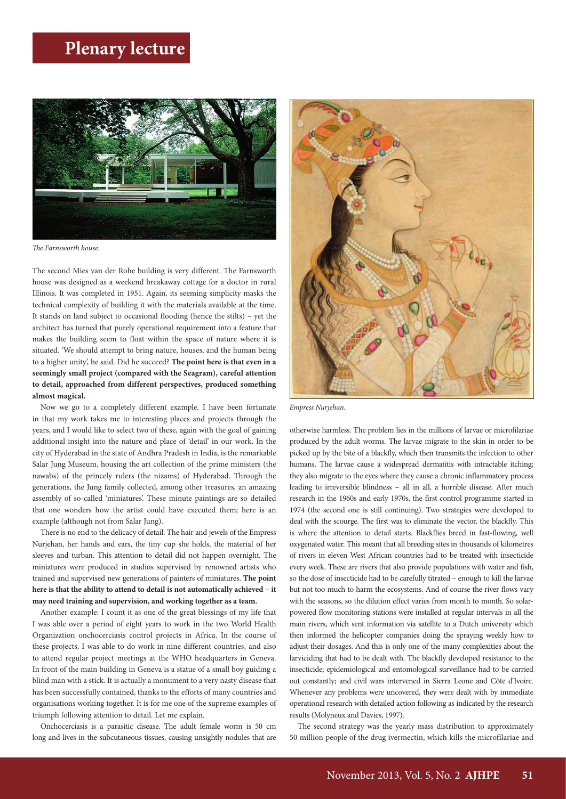

*The Farnsworth house.*

The second Mies van der Rohe building is very different. The Farnsworth house was designed as a weekend breakaway cottage for a doctor in rural Illinois. It was completed in 1951. Again, its seeming simplicity masks the technical complexity of building it with the materials available at the time. It stands on land subject to occasional flooding (hence the stilts) – yet the architect has turned that purely operational requirement into a feature that makes the building seem to float within the space of nature where it is situated. 'We should attempt to bring nature, houses, and the human being to a higher unity', he said. Did he succeed? **The point here is that even in a seemingly small project (compared with the Seagram), careful attention to detail, approached from different perspectives, produced something almost magical.**

Now we go to a completely different example. I have been fortunate in that my work takes me to interesting places and projects through the years, and I would like to select two of these, again with the goal of gaining additional insight into the nature and place of 'detail' in our work. In the city of Hyderabad in the state of Andhra Pradesh in India, is the remarkable Salar Jung Museum, housing the art collection of the prime ministers (the nawabs) of the princely rulers (the nizams) of Hyderabad. Through the generations, the Jung family collected, among other treasures, an amazing assembly of so-called 'miniatures'. These minute paintings are so detailed that one wonders how the artist could have executed them; here is an example (although not from Salar Jung).

There is no end to the delicacy of detail: The hair and jewels of the Empress Nurjehan, her hands and ears, the tiny cup she holds, the material of her sleeves and turban. This attention to detail did not happen overnight. The miniatures were produced in studios supervised by renowned artists who trained and supervised new generations of painters of miniatures. **The point here is that the ability to attend to detail is not automatically achieved – it may need training and supervision, and working together as a team.**

Another example: I count it as one of the great blessings of my life that I was able over a period of eight years to work in the two World Health Organization onchocerciasis control projects in Africa. In the course of these projects, I was able to do work in nine different countries, and also to attend regular project meetings at the WHO headquarters in Geneva. In front of the main building in Geneva is a statue of a small boy guiding a blind man with a stick. It is actually a monument to a very nasty disease that has been successfully contained, thanks to the efforts of many countries and organisations working together. It is for me one of the supreme examples of triumph following attention to detail. Let me explain.

Onchocerciasis is a parasitic disease. The adult female worm is 50 cm long and lives in the subcutaneous tissues, causing unsightly nodules that are



*Empress Nurjehan.*

otherwise harmless. The problem lies in the millions of larvae or microfilariae produced by the adult worms. The larvae migrate to the skin in order to be picked up by the bite of a blackfly, which then transmits the infection to other humans. The larvae cause a widespread dermatitis with intractable itching; they also migrate to the eyes where they cause a chronic inflammatory process leading to irreversible blindness – all in all, a horrible disease. After much research in the 1960s and early 1970s, the first control programme started in 1974 (the second one is still continuing). Two strategies were developed to deal with the scourge. The first was to eliminate the vector, the blackfly. This is where the attention to detail starts. Blackflies breed in fast-flowing, well oxygenated water. This meant that all breeding sites in thousands of kilometres of rivers in eleven West African countries had to be treated with insecticide every week. These are rivers that also provide populations with water and fish, so the dose of insecticide had to be carefully titrated – enough to kill the larvae but not too much to harm the ecosystems. And of course the river flows vary with the seasons, so the dilution effect varies from month to month. So solarpowered flow monitoring stations were installed at regular intervals in all the main rivers, which sent information via satellite to a Dutch university which then informed the helicopter companies doing the spraying weekly how to adjust their dosages. And this is only one of the many complexities about the larviciding that had to be dealt with. The blackfly developed resistance to the insecticide; epidemiological and entomological surveillance had to be carried out constantly; and civil wars intervened in Sierra Leone and Côte d'Ivoire. Whenever any problems were uncovered, they were dealt with by immediate operational research with detailed action following as indicated by the research results (Molyneux and Davies, 1997).

The second strategy was the yearly mass distribution to approximately 50 million people of the drug ivermectin, which kills the microfilariae and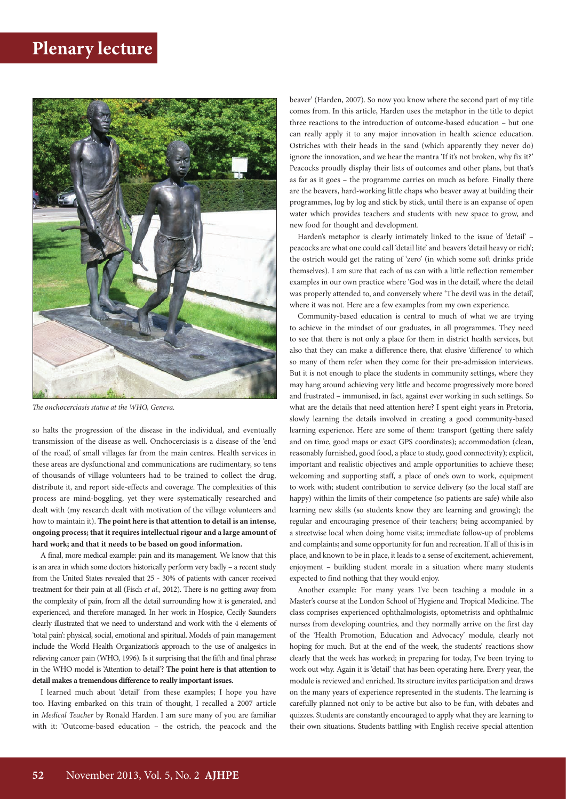

*The onchocerciasis statue at the WHO, Geneva.*

so halts the progression of the disease in the individual, and eventually transmission of the disease as well. Onchocerciasis is a disease of the 'end of the road', of small villages far from the main centres. Health services in these areas are dysfunctional and communications are rudimentary, so tens of thousands of village volunteers had to be trained to collect the drug, distribute it, and report side-effects and coverage. The complexities of this process are mind-boggling, yet they were systematically researched and dealt with (my research dealt with motivation of the village volunteers and how to maintain it). **The point here is that attention to detail is an intense, ongoing process; that it requires intellectual rigour and a large amount of hard work; and that it needs to be based on good information.**

A final, more medical example: pain and its management. We know that this is an area in which some doctors historically perform very badly – a recent study from the United States revealed that 25 - 30% of patients with cancer received treatment for their pain at all (Fisch *et al*., 2012). There is no getting away from the complexity of pain, from all the detail surrounding how it is generated, and experienced, and therefore managed. In her work in Hospice, Cecily Saunders clearly illustrated that we need to understand and work with the 4 elements of 'total pain': physical, social, emotional and spiritual. Models of pain management include the World Health Organization's approach to the use of analgesics in relieving cancer pain (WHO, 1996). Is it surprising that the fifth and final phrase in the WHO model is 'Attention to detail'? **The point here is that attention to detail makes a tremendous difference to really important issues.**

I learned much about 'detail' from these examples; I hope you have too. Having embarked on this train of thought, I recalled a 2007 article in *Medical Teacher* by Ronald Harden. I am sure many of you are familiar with it: 'Outcome-based education – the ostrich, the peacock and the beaver' (Harden, 2007). So now you know where the second part of my title comes from. In this article, Harden uses the metaphor in the title to depict three reactions to the introduction of outcome-based education – but one can really apply it to any major innovation in health science education. Ostriches with their heads in the sand (which apparently they never do) ignore the innovation, and we hear the mantra 'If it's not broken, why fix it?' Peacocks proudly display their lists of outcomes and other plans, but that's as far as it goes – the programme carries on much as before. Finally there are the beavers, hard-working little chaps who beaver away at building their programmes, log by log and stick by stick, until there is an expanse of open water which provides teachers and students with new space to grow, and new food for thought and development.

Harden's metaphor is clearly intimately linked to the issue of 'detail' – peacocks are what one could call 'detail lite' and beavers 'detail heavy or rich'; the ostrich would get the rating of 'zero' (in which some soft drinks pride themselves). I am sure that each of us can with a little reflection remember examples in our own practice where 'God was in the detail', where the detail was properly attended to, and conversely where 'The devil was in the detail', where it was not. Here are a few examples from my own experience.

Community-based education is central to much of what we are trying to achieve in the mindset of our graduates, in all programmes. They need to see that there is not only a place for them in district health services, but also that they can make a difference there, that elusive 'difference' to which so many of them refer when they come for their pre-admission interviews. But it is not enough to place the students in community settings, where they may hang around achieving very little and become progressively more bored and frustrated – immunised, in fact, against ever working in such settings. So what are the details that need attention here? I spent eight years in Pretoria, slowly learning the details involved in creating a good community-based learning experience. Here are some of them: transport (getting there safely and on time, good maps or exact GPS coordinates); accommodation (clean, reasonably furnished, good food, a place to study, good connectivity); explicit, important and realistic objectives and ample opportunities to achieve these; welcoming and supporting staff, a place of one's own to work, equipment to work with; student contribution to service delivery (so the local staff are happy) within the limits of their competence (so patients are safe) while also learning new skills (so students know they are learning and growing); the regular and encouraging presence of their teachers; being accompanied by a streetwise local when doing home visits; immediate follow-up of problems and complaints; and some opportunity for fun and recreation. If all of this is in place, and known to be in place, it leads to a sense of excitement, achievement, enjoyment – building student morale in a situation where many students expected to find nothing that they would enjoy.

Another example: For many years I've been teaching a module in a Master's course at the London School of Hygiene and Tropical Medicine. The class comprises experienced ophthalmologists, optometrists and ophthalmic nurses from developing countries, and they normally arrive on the first day of the 'Health Promotion, Education and Advocacy' module, clearly not hoping for much. But at the end of the week, the students' reactions show clearly that the week has worked; in preparing for today, I've been trying to work out why. Again it is 'detail' that has been operating here. Every year, the module is reviewed and enriched. Its structure invites participation and draws on the many years of experience represented in the students. The learning is carefully planned not only to be active but also to be fun, with debates and quizzes. Students are constantly encouraged to apply what they are learning to their own situations. Students battling with English receive special attention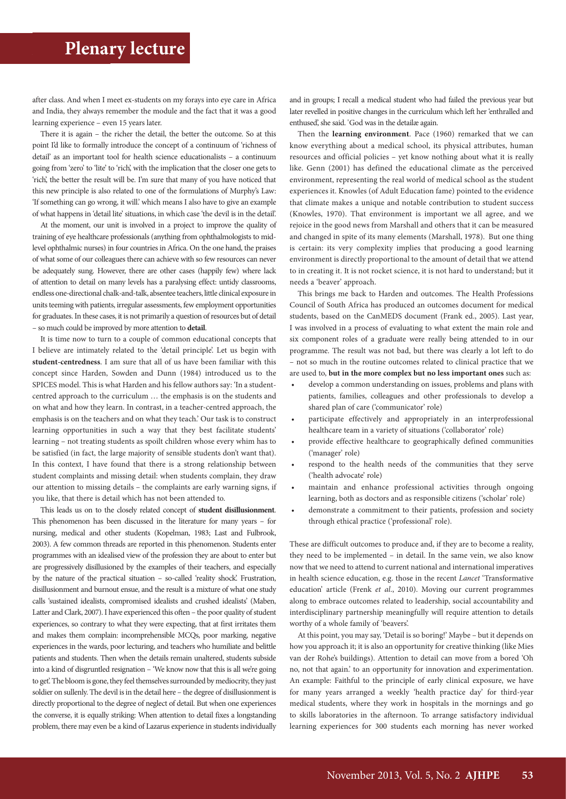after class. And when I meet ex-students on my forays into eye care in Africa and India, they always remember the module and the fact that it was a good learning experience – even 15 years later.

There it is again – the richer the detail, the better the outcome. So at this point I'd like to formally introduce the concept of a continuum of 'richness of detail' as an important tool for health science educationalists – a continuum going from 'zero' to 'lite' to 'rich', with the implication that the closer one gets to 'rich', the better the result will be. I'm sure that many of you have noticed that this new principle is also related to one of the formulations of Murphy's Law: 'If something can go wrong, it will.' which means I also have to give an example of what happens in 'detail lite' situations, in which case 'the devil is in the detail'.

At the moment, our unit is involved in a project to improve the quality of training of eye healthcare professionals (anything from ophthalmologists to midlevel ophthalmic nurses) in four countries in Africa. On the one hand, the praises of what some of our colleagues there can achieve with so few resources can never be adequately sung. However, there are other cases (happily few) where lack of attention to detail on many levels has a paralysing effect: untidy classrooms, endless one-directional chalk-and-talk, absentee teachers, little clinical exposure in units teeming with patients, irregular assessments, few employment opportunities for graduates. In these cases, it is not primarily a question of resources but of detail – so much could be improved by more attention to **detail**.

It is time now to turn to a couple of common educational concepts that I believe are intimately related to the 'detail principle'. Let us begin with **student-centredness**. I am sure that all of us have been familiar with this concept since Harden, Sowden and Dunn (1984) introduced us to the SPICES model. This is what Harden and his fellow authors say: 'In a studentcentred approach to the curriculum … the emphasis is on the students and on what and how they learn. In contrast, in a teacher-centred approach, the emphasis is on the teachers and on what they teach.' Our task is to construct learning opportunities in such a way that they best facilitate students' learning – not treating students as spoilt children whose every whim has to be satisfied (in fact, the large majority of sensible students don't want that). In this context, I have found that there is a strong relationship between student complaints and missing detail: when students complain, they draw our attention to missing details – the complaints are early warning signs, if you like, that there is detail which has not been attended to.

This leads us on to the closely related concept of **student disillusionment**. This phenomenon has been discussed in the literature for many years – for nursing, medical and other students (Kopelman, 1983; Last and Fulbrook, 2003). A few common threads are reported in this phenomenon. Students enter programmes with an idealised view of the profession they are about to enter but are progressively disillusioned by the examples of their teachers, and especially by the nature of the practical situation – so-called 'reality shock'. Frustration, disillusionment and burnout ensue, and the result is a mixture of what one study calls 'sustained idealists, compromised idealists and crushed idealists' (Maben, Latter and Clark, 2007). I have experienced this often – the poor quality of student experiences, so contrary to what they were expecting, that at first irritates them and makes them complain: incomprehensible MCQs, poor marking, negative experiences in the wards, poor lecturing, and teachers who humiliate and belittle patients and students. Then when the details remain unaltered, students subside into a kind of disgruntled resignation – 'We know now that this is all we're going to get'. The bloom is gone, they feel themselves surrounded by mediocrity, they just soldier on sullenly. The devil is in the detail here – the degree of disillusionment is directly proportional to the degree of neglect of detail. But when one experiences the converse, it is equally striking: When attention to detail fixes a longstanding problem, there may even be a kind of Lazarus experience in students individually

and in groups; I recall a medical student who had failed the previous year but later revelled in positive changes in the curriculum which left her 'enthralled and enthused', she said. 'God was in the detailæ again.

Then the **learning environment**. Pace (1960) remarked that we can know everything about a medical school, its physical attributes, human resources and official policies – yet know nothing about what it is really like. Genn (2001) has defined the educational climate as the perceived environment, representing the real world of medical school as the student experiences it. Knowles (of Adult Education fame) pointed to the evidence that climate makes a unique and notable contribution to student success (Knowles, 1970). That environment is important we all agree, and we rejoice in the good news from Marshall and others that it can be measured and changed in spite of its many elements (Marshall, 1978). But one thing is certain: its very complexity implies that producing a good learning environment is directly proportional to the amount of detail that we attend to in creating it. It is not rocket science, it is not hard to understand; but it needs a 'beaver' approach.

This brings me back to Harden and outcomes. The Health Professions Council of South Africa has produced an outcomes document for medical students, based on the CanMEDS document (Frank ed., 2005). Last year, I was involved in a process of evaluating to what extent the main role and six component roles of a graduate were really being attended to in our programme. The result was not bad, but there was clearly a lot left to do – not so much in the routine outcomes related to clinical practice that we are used to, **but in the more complex but no less important ones** such as:

- develop a common understanding on issues, problems and plans with patients, families, colleagues and other professionals to develop a shared plan of care ('communicator' role)
- participate effectively and appropriately in an interprofessional healthcare team in a variety of situations ('collaborator' role)
- provide effective healthcare to geographically defined communities ('manager' role)
- respond to the health needs of the communities that they serve ('health advocate' role)
- maintain and enhance professional activities through ongoing learning, both as doctors and as responsible citizens ('scholar' role)
- demonstrate a commitment to their patients, profession and society through ethical practice ('professional' role).

These are difficult outcomes to produce and, if they are to become a reality, they need to be implemented – in detail. In the same vein, we also know now that we need to attend to current national and international imperatives in health science education, e.g. those in the recent *Lancet* 'Transformative education' article (Frenk *et al*., 2010). Moving our current programmes along to embrace outcomes related to leadership, social accountability and interdisciplinary partnership meaningfully will require attention to details worthy of a whole family of 'beavers'.

At this point, you may say, 'Detail is so boring!' Maybe – but it depends on how you approach it; it is also an opportunity for creative thinking (like Mies van der Rohe's buildings). Attention to detail can move from a bored 'Oh no, not that again.' to an opportunity for innovation and experimentation. An example: Faithful to the principle of early clinical exposure, we have for many years arranged a weekly 'health practice day' for third-year medical students, where they work in hospitals in the mornings and go to skills laboratories in the afternoon. To arrange satisfactory individual learning experiences for 300 students each morning has never worked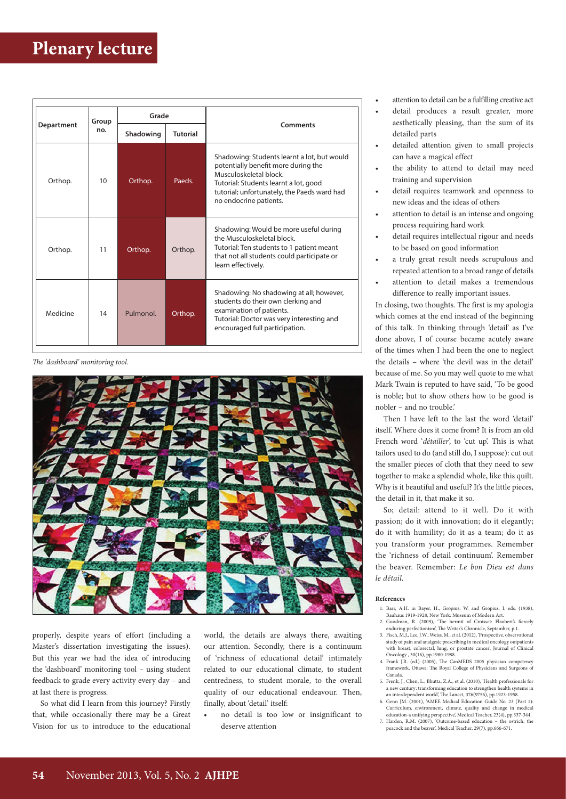| Department | Group<br>no. | Grade     |                 |                                                                                                                                                                                                                                |
|------------|--------------|-----------|-----------------|--------------------------------------------------------------------------------------------------------------------------------------------------------------------------------------------------------------------------------|
|            |              | Shadowing | <b>Tutorial</b> | Comments                                                                                                                                                                                                                       |
| Orthop.    | 10           | Orthop.   | Paeds.          | Shadowing: Students learnt a lot, but would<br>potentially benefit more during the<br>Musculoskeletal block.<br>Tutorial: Students learnt a lot, good<br>tutorial; unfortunately, the Paeds ward had<br>no endocrine patients. |
| Orthop.    | 11           | Orthop.   | Orthop.         | Shadowing: Would be more useful during<br>the Musculoskeletal block.<br>Tutorial: Ten students to 1 patient meant<br>that not all students could participate or<br>learn effectively.                                          |
| Medicine   | 14           | Pulmonol. | Orthop.         | Shadowing: No shadowing at all; however,<br>students do their own clerking and<br>examination of patients.<br>Tutorial: Doctor was very interesting and<br>encouraged full participation.                                      |

*The 'dashboard' monitoring tool.*



properly, despite years of effort (including a Master's dissertation investigating the issues). But this year we had the idea of introducing the 'dashboard' monitoring tool – using student feedback to grade every activity every day – and at last there is progress.

So what did I learn from this journey? Firstly that, while occasionally there may be a Great Vision for us to introduce to the educational

world, the details are always there, awaiting our attention. Secondly, there is a continuum of 'richness of educational detail' intimately related to our educational climate, to student centredness, to student morale, to the overall quality of our educational endeavour. Then, finally, about 'detail' itself:

• no detail is too low or insignificant to deserve attention

- attention to detail can be a fulfilling creative act
- detail produces a result greater, more aesthetically pleasing, than the sum of its detailed parts
- detailed attention given to small projects can have a magical effect
- the ability to attend to detail may need training and supervision
- detail requires teamwork and openness to new ideas and the ideas of others
- attention to detail is an intense and ongoing process requiring hard work
- detail requires intellectual rigour and needs to be based on good information
- a truly great result needs scrupulous and repeated attention to a broad range of details
- attention to detail makes a tremendous difference to really important issues.

In closing, two thoughts. The first is my apologia which comes at the end instead of the beginning of this talk. In thinking through 'detail' as I've done above, I of course became acutely aware of the times when I had been the one to neglect the details – where 'the devil was in the detail' because of me. So you may well quote to me what Mark Twain is reputed to have said, 'To be good is noble; but to show others how to be good is nobler – and no trouble.'

Then I have left to the last the word 'detail' itself. Where does it come from? It is from an old French word '*détailler*', to 'cut up'. This is what tailors used to do (and still do, I suppose): cut out the smaller pieces of cloth that they need to sew together to make a splendid whole, like this quilt. Why is it beautiful and useful? It's the little pieces, the detail in it, that make it so.

So; detail: attend to it well. Do it with passion; do it with innovation; do it elegantly; do it with humility; do it as a team; do it as you transform your programmes. Remember the 'richness of detail continuum'. Remember the beaver. Remember: *Le bon Dieu est dans le détail*.

#### **References**

- 1. Barr, A.H. in Bayer, H., Gropius, W. and Gropius, I. eds. (1938), Bauhaus 1919-1928, New York: Museum of Modern Art. 2. Goodman, R. (2009), 'The hermit of Croisset: Flaubert's fiercely
- enduring perfectionism', The Writer's Chronicle, September, p.1.
- 3. Fisch, M.J., Lee, J.W., Weiss, M., et al. (2012), 'Prospective, observational study of pain and analgesic prescribing in medical oncology outpatients with breast, colorectal, lung, or prostate cancer', Journal of Clinical Oncology , 30(16), pp.1980-1988. 4. Frank J.R. (ed.) (2005), The CanMEDS 2005 physician competency
- framework, Ottawa: The Royal College of Physicians and Surgeons of Canada.
- 5. Frenk, J., Chen, L., Bhutta, Z.A., et al. (2010), 'Health professionals for a new century: transforming education to strengthen health systems in an interdependent world', The Lancet, 376(9756), pp.1923-1958. 6. Genn JM. (2001), 'AMEE Medical Education Guide No. 23 (Part 1):
- Curriculum, environment, climate, quality and change in medical education-a unifying perspective', Medical Teacher, 23(4), pp.337-344.
- 7. Harden, R.M. (2007), 'Outcome-based education the ostrich, the peacock and the beaver', Medical Teacher, 29(7), pp.666-671.